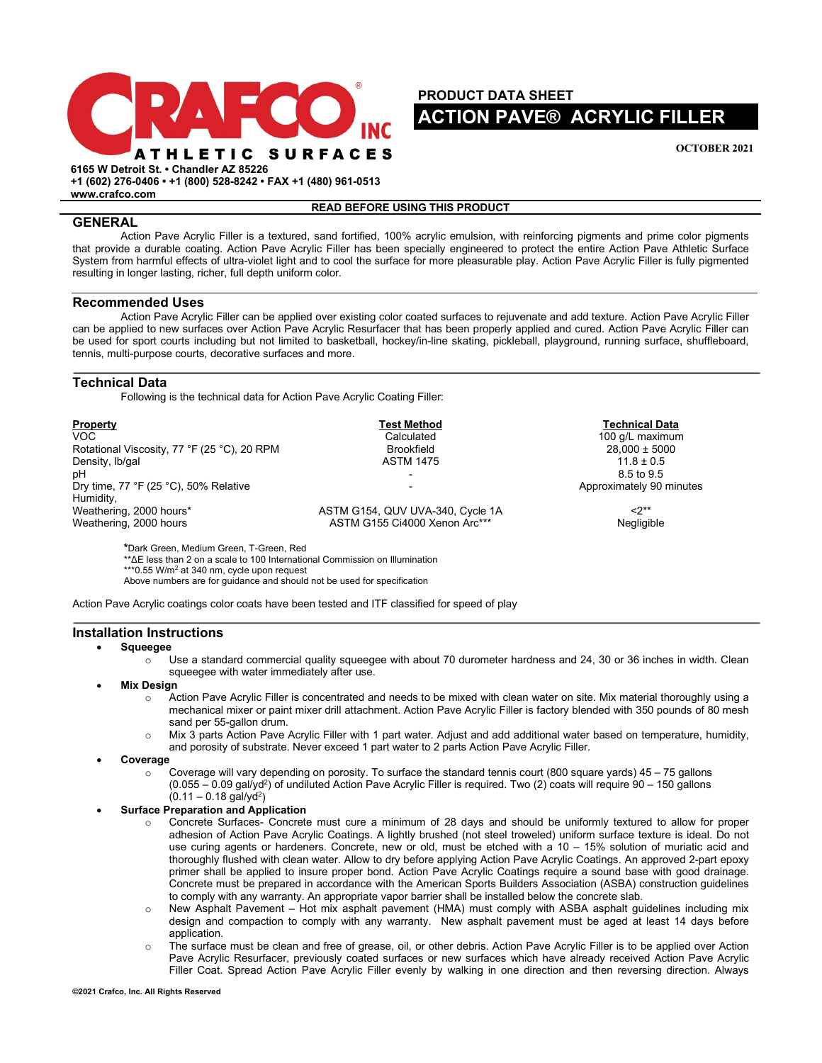

**PRODUCT DATA SHEET ACTION PAVE® ACRYLIC FILLER** 

**OCTOBER 2021**

**6165 W Detroit St. • Chandler AZ 85226 +1 (602) 276-0406 • +1 (800) 528-8242 • FAX +1 (480) 961-0513**

**www.crafco.com**

## **READ BEFORE USING THIS PRODUCT**

# **GENERAL**

Action Pave Acrylic Filler is a textured, sand fortified, 100% acrylic emulsion, with reinforcing pigments and prime color pigments that provide a durable coating. Action Pave Acrylic Filler has been specially engineered to protect the entire Action Pave Athletic Surface System from harmful effects of ultra-violet light and to cool the surface for more pleasurable play. Action Pave Acrylic Filler is fully pigmented resulting in longer lasting, richer, full depth uniform color.

## **Recommended Uses**

Action Pave Acrylic Filler can be applied over existing color coated surfaces to rejuvenate and add texture. Action Pave Acrylic Filler can be applied to new surfaces over Action Pave Acrylic Resurfacer that has been properly applied and cured. Action Pave Acrylic Filler can be used for sport courts including but not limited to basketball, hockey/in-line skating, pickleball, playground, running surface, shuffleboard, tennis, multi-purpose courts, decorative surfaces and more.

# **Technical Data**

Following is the technical data for Action Pave Acrylic Coating Filler:

| Property                                    | <b>Test Method</b>               | <b>Technical Data</b>    |
|---------------------------------------------|----------------------------------|--------------------------|
| VOC.                                        | Calculated                       | 100 g/L maximum          |
| Rotational Viscosity, 77 °F (25 °C), 20 RPM | <b>Brookfield</b>                | $28.000 \pm 5000$        |
| Density, Ib/gal                             | <b>ASTM 1475</b>                 | $11.8 \pm 0.5$           |
| pН                                          |                                  | 8.5 to 9.5               |
| Dry time, 77 °F (25 °C), 50% Relative       |                                  | Approximately 90 minutes |
| Humidity,                                   |                                  |                          |
| Weathering, 2000 hours*                     | ASTM G154, QUV UVA-340, Cycle 1A | $2^{**}$                 |
| Weathering, 2000 hours                      | ASTM G155 Ci4000 Xenon Arc***    | Negligible               |

**\***Dark Green, Medium Green, T-Green, Red

\*\*ΔE less than 2 on a scale to 100 International Commission on Illumination

\*\*\*0.55 W/m<sup>2</sup> at 340 nm, cycle upon request

Above numbers are for guidance and should not be used for specification

Action Pave Acrylic coatings color coats have been tested and ITF classified for speed of play

# **Installation Instructions**

#### • **Squeegee**

- $\circ$  Use a standard commercial quality squeegee with about 70 durometer hardness and 24, 30 or 36 inches in width. Clean squeegee with water immediately after use.
- **Mix Design** 
	- o Action Pave Acrylic Filler is concentrated and needs to be mixed with clean water on site. Mix material thoroughly using a mechanical mixer or paint mixer drill attachment. Action Pave Acrylic Filler is factory blended with 350 pounds of 80 mesh sand per 55-gallon drum.
	- o Mix 3 parts Action Pave Acrylic Filler with 1 part water. Adjust and add additional water based on temperature, humidity, and porosity of substrate. Never exceed 1 part water to 2 parts Action Pave Acrylic Filler.
- **Coverage**
	- Coverage will vary depending on porosity. To surface the standard tennis court (800 square yards)  $45 75$  gallons  $(0.055 - 0.09$  gal/yd<sup>2</sup>) of undiluted Action Pave Acrylic Filler is required. Two (2) coats will require 90 - 150 gallons  $(0.11 - 0.18$  gal/yd<sup>2</sup>)
- **Surface Preparation and Application**
	- o Concrete Surfaces- Concrete must cure a minimum of 28 days and should be uniformly textured to allow for proper adhesion of Action Pave Acrylic Coatings. A lightly brushed (not steel troweled) uniform surface texture is ideal. Do not use curing agents or hardeners. Concrete, new or old, must be etched with a 10 – 15% solution of muriatic acid and thoroughly flushed with clean water. Allow to dry before applying Action Pave Acrylic Coatings. An approved 2-part epoxy primer shall be applied to insure proper bond. Action Pave Acrylic Coatings require a sound base with good drainage. Concrete must be prepared in accordance with the American Sports Builders Association (ASBA) construction guidelines to comply with any warranty. An appropriate vapor barrier shall be installed below the concrete slab.
	- o New Asphalt Pavement Hot mix asphalt pavement (HMA) must comply with ASBA asphalt guidelines including mix design and compaction to comply with any warranty. New asphalt pavement must be aged at least 14 days before application.
	- o The surface must be clean and free of grease, oil, or other debris. Action Pave Acrylic Filler is to be applied over Action Pave Acrylic Resurfacer, previously coated surfaces or new surfaces which have already received Action Pave Acrylic Filler Coat. Spread Action Pave Acrylic Filler evenly by walking in one direction and then reversing direction. Always